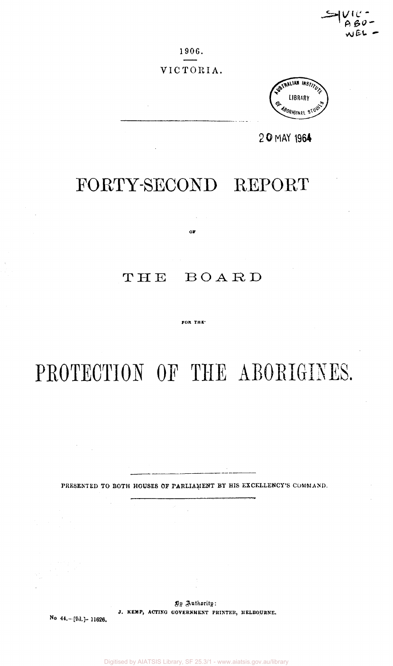1906.

**No 44.-[fid.]- 11626.** 

Digitised by AIATSIS Library, SF 25.3/1 - www.aiatsis.gov.au/library

**By Authority: J. KEMP, ACTING GOVERNMENT PRINTER, MELBOURNE.** 

# $\mathbf{or}$

FORTY-SECOND REPORT

# THE BOARD

#### FOR THE

# PROTECTION OF THE ABORIGINES.

PRESENTED TO BOTH HOUSES OF PARLIAMENT BY HIS EXCELLENCY'S COMMAND.

RALIAN INST <sup>8</sup>ORH31N2L

**2 0 MAY 1964** 

VICTORIA.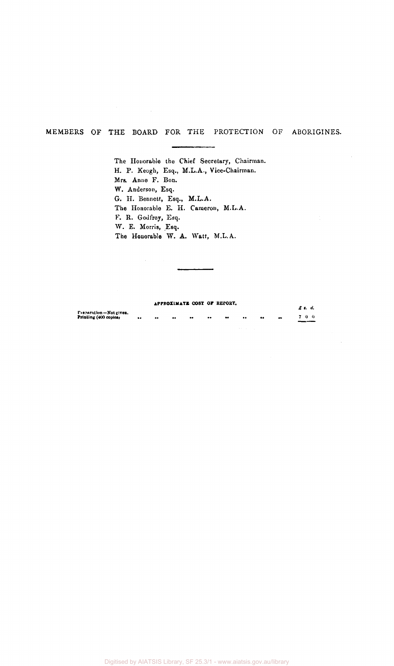# MEMBERS OF THE BOARD FOR THE PROTECTION OF ABORIGINES.

The Honorable the Chief Secretary, Chairman. H. P. Keogh, Esq., M.L.A., Vice-Chairman. Mrs. Anno F. Bon. W. Anderson, Esq. G. H. Bennett, Esq., M.L.A. The Honorable E. H. Cameron, M.L.A. F. R. Godfrey, Esq. W. E. Morris, Esq. The Honorable W. A. Watt, M.L.A.

#### **APPROXIMATE COST oF REPORT.**

|                                                 |                  |                  | AFFRUALMAIN COST OF ALLOAN. |                     |           |           |                     |                  |                  | $f$ s. d. |
|-------------------------------------------------|------------------|------------------|-----------------------------|---------------------|-----------|-----------|---------------------|------------------|------------------|-----------|
| Freparation-Not given.<br>Printing (400 copies) | $\bullet\bullet$ | $\bullet\bullet$ | $\bullet\bullet$            | $^{\bullet\bullet}$ | $\bullet$ | $\bullet$ | $^{\bullet\bullet}$ | $\bullet\bullet$ | $\bullet\bullet$ | 7.0.0     |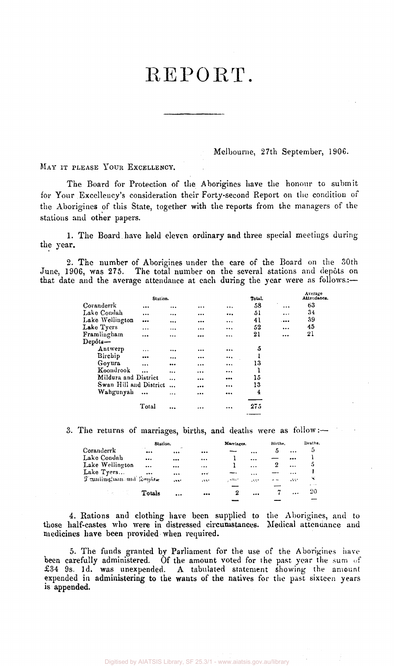# REPORT.

Melbourne, 27th September, 1906.

MAY IT PLEASE YOUR EXCELLENCY.

The Board for Protection of the Aborigines have the honour to submit for Your Excellency's consideration their Forty-second Report on the condition of the Aborigines of this State, together with the reports from the managers of the stations and other papers.

1. The Board have held eleven ordinary and three special meetings during the year.

2. The number of Aborigines under the care of the Board on the 30th June, 1906, was 275. The total number on the several stations and depots on that date and the average attendance at each during the year were as follows.:—

|                        | Station.  |           |          | Total.  |           | Average<br>Attendance. |
|------------------------|-----------|-----------|----------|---------|-----------|------------------------|
| Coranderrk             | $\ddotsc$ |           | $\cdots$ | <br>58  | $\ddotsc$ | 63                     |
| Lake Condah            |           | $\ddotsc$ |          | <br>51  | $\cdots$  | 34                     |
| Lake Wellington        |           | $\ddotsc$ |          | <br>41  |           | 39                     |
| Lake Tyers             | $\ddotsc$ |           |          | <br>52  |           | 45                     |
| Framlingham            |           |           |          | <br>21  | $\cdots$  | 21                     |
| $\bf Dep\^s$ ts —      |           |           |          |         |           |                        |
| Antwerp                | $\ddotsc$ | $\ddotsc$ |          | <br>5   |           |                        |
| Birchip                |           |           |          |         |           |                        |
| Goyura                 |           |           | $\cdots$ | <br>13  |           |                        |
| Koondrook              |           |           |          |         |           |                        |
| Mildura and District   |           | $\ddotsc$ |          | <br>15  |           |                        |
| Swan Hill and District |           |           |          | <br>13  |           |                        |
| Wahgunyah              | $\ddotsc$ |           |          | <br>4   |           |                        |
|                        |           |           |          |         |           |                        |
|                        | Total     |           |          | <br>275 |           |                        |
|                        |           |           |          |         |           |                        |

3. The returns of marriages, births, and deaths were as  $\text{follow:} \rightarrow$ 

|                        | Station.  |            |          | Marriages. |          | Births. |           | Deaths, |
|------------------------|-----------|------------|----------|------------|----------|---------|-----------|---------|
| Coranderrk             |           | $\sim$<br> |          |            | $\cdots$ | 5       | $\cdots$  | 5       |
| Lake Condah            | $\cdots$  |            | $\cdots$ |            |          |         |           |         |
| Lake Wellington        | $\ddotsc$ |            |          |            | $\cdots$ |         | $\ddotsc$ | 5       |
| Lake Tyers             |           |            |          |            | $\cdots$ |         | $\cdots$  |         |
| Teanlington and Lephne |           | $\cdots$   | .111     | التنتب     | asse.    |         | 1.117     | Ч.      |
|                        |           |            |          |            |          |         |           | .       |
| 安装 计内容                 | Totals    | $\cdots$   |          | 2          |          |         |           | -20     |
|                        |           |            |          |            |          |         |           |         |

4. Rations and clothing have been supplied to the Aborigines, and to those half-castes who were in distressed circumstances. Medical attendance and medicines have been provided when required.

5. The funds granted by Parliament for the use of the Aborigines have been carefully administered. Of the amount voted for the past year the sum of £34 9s. 1d. was unexpended. A tabulated statement showing the amount expended in administering to the wants of the natives for the past sixteen years is **appended.**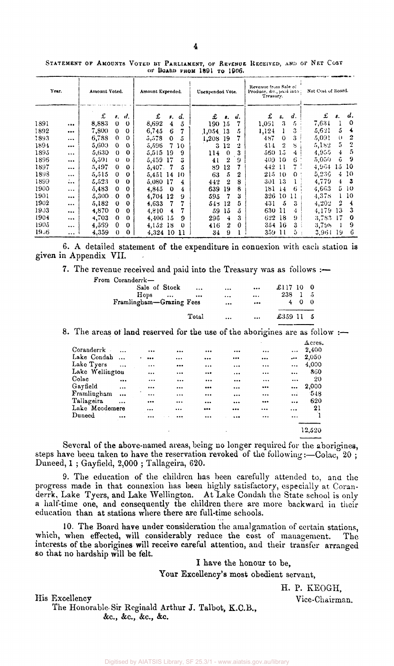| Year. |           | Amount Voted. |             |             | Amount Expended. |                |          | Unexpended Vote. |                  |    | Revenue from Sale of<br>Produce, &c., paid into .<br>Treasury. |              |          | Net Cost of Board. |                  |     |
|-------|-----------|---------------|-------------|-------------|------------------|----------------|----------|------------------|------------------|----|----------------------------------------------------------------|--------------|----------|--------------------|------------------|-----|
|       |           | £             | в.          | d,          | £                | \$.            | d.       | £                | 8.               | d. | £                                                              | s.           | d.       | £                  | s.               | d.  |
| 1891  | $\cdots$  | 8,883         | $\mathbf 0$ | $\Omega$    | 8,692            | 4              | 5        | 190-             | -15              |    | 1,051                                                          | 3            | 5        | 7,631              |                  | 0   |
| 1892  |           | 7,800         | $\Omega$    | $\Omega$    | 6.745            | 6              | 7        | 1,054 13         |                  | 5  | 1,124                                                          |              | 3        | 5.621              | 5                | 4   |
| 1893  | $\ddotsc$ | 6,788         | $\theta$    | $\Omega$    | 5,578            | $\Omega$       | 5        | 1,208            | -19              |    | 487                                                            | $\Omega$     | 3        | 5,091              | $\mathbf{0}$     | 2   |
| 1894  |           | 5,600         | $\Omega$    | $\Omega$    | 5,596            | $\overline{7}$ | 10       | 3                | 12               | 2  | 414                                                            | 2            | S        | 5,182              | 5                | 2   |
| 1895  | $\cdots$  | 5,630         | $\mathbf 0$ | 0           | 5,515            | 19             | -9       | 114              | $\Omega$         | 3  | 560.                                                           | -15          | 4        | 4.955              | 4                | 5   |
| 1896  |           | 5,501         | $\Omega$    | $_{0}$      | 5,459            | 17             | 3        | 41               | 2                | 9  | 409                                                            | 10           | 6        | 5,050              | û                | 9   |
| 1897  | $\cdots$  | 5,497         | $\Omega$    | $\bf{0}$    | 5,407.           | 7              | 5        | 89               | 12               |    | 442                                                            | 11           | 7.       | 4,964              | 15.              | -10 |
| 1893  | $\cdots$  | 5,515         | 0           | O           | 5,451 14         |                | 10       | 63               | 5                | 2  | 215                                                            | -10          | $\Omega$ | 5,236              | 4                | 10  |
| 1899  | $\cdots$  | 5,523         | $\bf{0}$    | $\Omega$    | 5.080            | 17             | 4        | 442              | $\boldsymbol{2}$ | 8  | 301                                                            | 13           |          | 4,779              | $\ddot{\bullet}$ | 3   |
| 1900  | $\cdots$  | 5,483         | 0           | 0           | 4,845            | $\bf{0}$       | 4        | 639              | 19               | 8  | 181                                                            | 14           | 6        | 4,663              | 5.               | -10 |
| 1901  | $\cdots$  | $5,300$ .     | $\mathbf 0$ | 0           | 4,704            | 12             | 9        | 595              |                  | 3  | 326                                                            | 10           | 11       | 4,378              |                  | 110 |
| 1902  |           | 5,182         | $\bf{0}$    | 0           | 4.633            | 7              | 7        | 545              | 12               | 5  | 431                                                            | 5            | 3        | 4,202              | 2                | 4   |
| 1903  |           | 4,870         | $\mathbf 0$ | $\Omega$    | 4.810            | 4              | 7        | 59               | 15               | 5  | 630                                                            | 11           | 4        | 4,179              | 13               | 3   |
| 1904  |           | 4,703         | $\Omega$    | $\Omega$    | 4,406            | 15             | 9        | 296              | 4                | 3  | 622                                                            | 18           | 9        | 3,783.             | $\frac{17}{2}$   | 0   |
| 1905  | $\cdots$  | 4.569         | 0           | $\mathbf 0$ | 4,152            | 18             | $\Omega$ | 416              | 2                | 0  | 354 16                                                         |              | 3        | 3,798              |                  | 9   |
| 19.36 | $\cdots$  | 4,359         | $\theta$    | 0           | 4,324 10         |                | 11       | 34               | 9                |    | 359                                                            | $\mathbf{u}$ | Ð        | 3.964              | 19               | 6   |

STATEMENT OF AMOUNTS VOTED BY PARLIAMENT, OF REVENUE RECEIVED, AND OF NET COST<br>of Board from 1801 to 1906.

6. A detailed statement of the expenditure in connexion with each station is given in Appendix VII.

7. The revenue received and paid into the Treasury was as follows :—

| From Coranderrk-         |                         |          |          |                       |  |
|--------------------------|-------------------------|----------|----------|-----------------------|--|
| Sale of Stock            | $\cdots$                | $\cdots$ |          | £117 10 $0$           |  |
| $H$ ops                  | $\bullet\bullet\bullet$ |          | $\cdots$ | $238 \quad 1 \quad 5$ |  |
| Framlingham-Grazing Fees |                         | $\cdots$ | $\cdots$ |                       |  |
|                          | Total                   | $\cdots$ | $\cdots$ | £359115               |  |

8. The areas of land reserved for the use of the aborigines are as follow :-

|                |                 |                                                                  |              |                  |           |          | $\Delta$ cres. |
|----------------|-----------------|------------------------------------------------------------------|--------------|------------------|-----------|----------|----------------|
|                |                 |                                                                  |              |                  | $\ddotsc$ | $\cdots$ | 2.400          |
| $\bullet$      |                 |                                                                  |              |                  |           |          | 2,050          |
| $\cdots$       |                 |                                                                  | $\cdots$     | $\cdots$         | $\cdots$  | $\cdots$ | 4,000          |
|                |                 | $\cdots$                                                         |              | $\cdots$         |           |          | 860            |
| $\cdots$       |                 | $\cdots$                                                         |              | $\cdots$         | $\cdots$  |          | 20             |
| $\cdots$       |                 |                                                                  |              |                  |           | $\cdots$ | 2,000          |
| $\cdots$       |                 | $\cdots$                                                         |              |                  | $\ddotsc$ |          | $-548$         |
| $\cdots$       |                 |                                                                  |              | $\cdots$         |           | $\cdots$ | 620            |
| Lake Moodemere |                 |                                                                  |              |                  | $\cdots$  |          | 21             |
|                |                 |                                                                  |              |                  |           |          |                |
|                |                 |                                                                  |              |                  |           |          |                |
|                |                 |                                                                  |              |                  |           |          | 12,520         |
|                | Lake Wellington | <br><br>$\cdots$<br>$\cdots$<br>$\cdots$<br><br><br><br>$\cdots$ | $\cdots$<br> | <br>$\cdots$<br> | <br>      |          | $\ddotsc$      |

Several of the above-named areas, being no longer required for the aborigines, steps have been taken to have the reservation revoked of the following:—Colac, 20; Duneed, 1 ; Gayfield, 2,000 ; Tallageira, 620.

9. The education of the children has been carefully attended to, and the progress made in that connexion has been highly satisfactory, especially at Coranderrk, Lake Tyers, and Lake Wellington. At Lake Condah the State school is only a half-time one, and consequently the children there are more backward in their education than at stations where there are full-time schools.

10. The Board have under consideration the amalgamation of certain stations, which, when effected, will considerably reduce the cost of management. The interests of the aborigines will receive careful attention, and their transfer arranged so that no hardship will be felt.

I have the honour to be,

Your Excellency's most obedient servant,

H. P. KEOGH,

His Excellency Vice-Chairman.

The Honorable- Sir Reginald Arthur J. Talbot, K.C.B., &c, &c, &c, &c.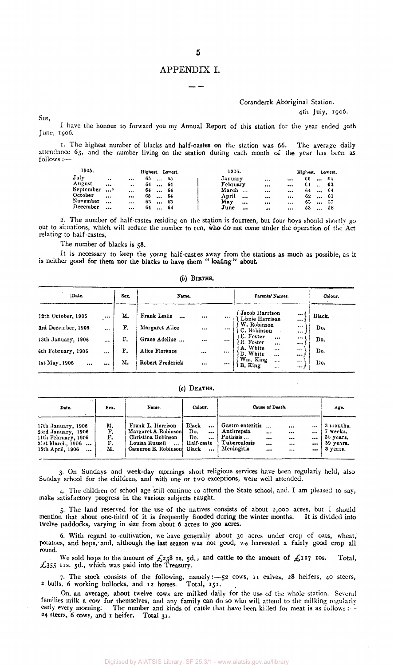# APPENDIX I.

## Coranderrk Aboriginal Station,

4th July, 1906.

SIR,

I have the honour to forward you my Annual Report of this station for the year ended 30th June, 1906.

1. The highest number of blacks and half-castes on the station was 66. The average daily attendance 63, and the number living on the station during each month of the year has been as follows :—

| 1905.     |                      |                      | Highest. Lowest. |      | 1906.                          |          | Highest. Lowest. |          |      |
|-----------|----------------------|----------------------|------------------|------|--------------------------------|----------|------------------|----------|------|
| July      | $\ddot{\phantom{a}}$ | $\ddotsc$            | 65<br>$\ddotsc$  | -65  | January<br>                    |          | 66               | $\cdots$ | -64  |
| August    | $\cdots$             | $\ddot{\phantom{a}}$ | 64               | -64  | February<br>$\cdots$           |          | 64.              | $\cdots$ | -63  |
| September | $\cdots$             | $\cdots$             | 64<br>$\cdots$   | - 64 | March<br>$\ddotsc$<br>$\cdots$ | $\cdots$ | 64.              | $\cdots$ | - 64 |
| October   |                      |                      | 65<br>$\cdots$   | - 64 | April<br>$\ddotsc$<br>         |          | 62               | $\cdots$ | -61  |
| November  |                      | $\cdots$             | 63<br>$\cdots$   | -63  | May<br>$\cdots$<br>            | $\cdots$ | 60               | $\cdots$ | - 57 |
| December  |                      | $\cdots$             | 64<br>$\cdots$   | -64  | June<br>                       | $\cdots$ | 53               |          | -58  |

2. The number of half-castes residing on the station is fourteen, but four boys should shortly go out to situations, which will reduce the number to ten, who do not come under the operation of the Act relating to half-castes.

The number of blacks is 58.

It is necessary to keep the young half-castes away from the stations as much as possible, as it is neither good for them nor the blacks to have them " **loafing" about** 

*(b)* **BIRTHS.** 

| Date.<br>Sex.      |          |    | Name.                    |          |          | Parents' Names.                                | Colour.              |              |
|--------------------|----------|----|--------------------------|----------|----------|------------------------------------------------|----------------------|--------------|
| 12th October, 1905 | $\cdots$ | М. | Frank Leslie<br>$\cdots$ |          | $\cdots$ | Jacob Harrison<br>Lizzie Harrison              | <br>                 | <b>Black</b> |
| 3rd December, 1905 | $\cdots$ | F. | Margaret Alice           | $\cdots$ | $\cdots$ | W. Robinson<br>C. Robinson                     | $\cdots$<br>$$       | Do.          |
| 13th January, 1906 | $\cdots$ | F. | Grace Adeline            |          | $\cdots$ | E. Foster<br>$\cdots$<br>R. Foster<br>$\cdots$ | <br>                 | Do.          |
| 6th February, 1906 | $\cdots$ | F. | Alice Florence           | $\cdots$ | $\cdots$ | A. White<br>$\cdots$<br>D. White<br>$\cdots$   | $\cdots$<br>$\cdots$ | Do.          |
| 1st May, 1906<br>  |          | М. | Robert Frederick         |          |          | Wm. King<br>$\cdots$<br>B. King<br>$\cdots$    | $\cdots$<br>,        | Do.          |

(c) DEATHS.

| Date.                                                                                                               | Sex.                       | Name.                                                                                                                 | Colour.                                                                                      |                                                                                            | Cause of Death.                                              | Age.                                                          |
|---------------------------------------------------------------------------------------------------------------------|----------------------------|-----------------------------------------------------------------------------------------------------------------------|----------------------------------------------------------------------------------------------|--------------------------------------------------------------------------------------------|--------------------------------------------------------------|---------------------------------------------------------------|
| 17th January, 1906<br>23rd January, 1906<br>11th February, 1906<br>31st March, 1906<br>15th April, 1906<br>$\cdots$ | м.<br>F.<br>F.<br>F.<br>М. | Frank L. Harrison<br>Margaret A. Robinson<br>Christina Robinson<br>Louisa Russell<br>$\ddotsc$<br>Cameron E. Robinson | Black<br>$\cdots$<br>Do.<br>$\cdots$<br>Do.<br>$\ddotsc$<br>Half-caste<br>Black<br>$\ddotsc$ | Gastro enteritis<br>Anthrepsia<br><br>Phthisis<br>$$<br>Tuberculosis<br><br>Meningitis<br> | $\cdots$<br><br><br>$\cdots$<br><br><br><br>$\cdots$<br><br> | 3 months.<br>7 weeks.<br>$30$ vears.<br>59 years.<br>3 уеаго. |

3. On Sundays and week-day mornings short religious services have been regularly held, also Sunday school for the children, and with one or two exceptions, were well attended.

4. The children of school age still continue to attend the State school, and, I am pleased to say, make satisfactory progress in the various subjects taught.

5. The land reserved for the use of the natives consists of about 2,000 acres, but I should mention that about one-third of it is frequently flooded during the winter months. It is divided into twelve paddocks, varying in size from about 6 acres to 300 acres.

6. With regard to cultivation, we have generally about 30 acres under crop of oats, wheat, potatoes, and hops, and, although the last season was not good, we harvested a fairly good crop all round.

We sold hops to the amount of  $\mathcal{L}238$  is.  $5d$ , and cattle to the amount of  $\mathcal{L}117$  ios. Total,  $\text{\emph{£}}355$  11s. 5d., which was paid into the Treasury.

7. The stock consists of the following, namely:—52 cows, 11 calves, 28 heifers, 40 steers, 2 bulls, 6 working bullocks, and 12 horses. Total, 151.

On. an average, about twelve cows are milked daily for the use of the whole station. Several families milk a cow for themselves, and any family can do so who will attend to the milking regularly early every morning. The number and kinds of cattle that have been killed for meat is as follows :-24 steers, 6 cows, and 1 heifer. Total 31.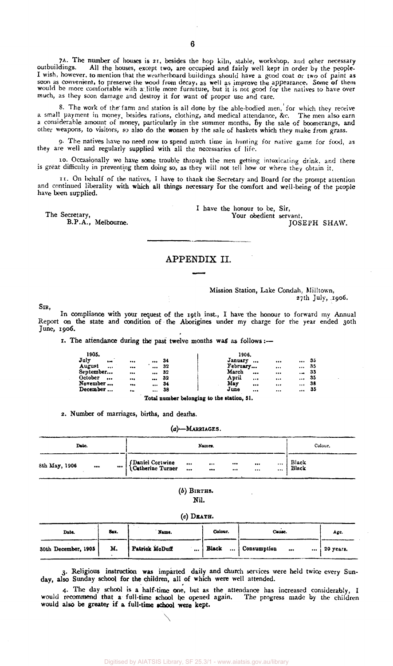7A. The number of houses is 21, besides the hop kiln, stable, workshop, and other necessary outbuildings. All the houses, except two, are occupied and fairly well kept in order by the people. I wish, however, to mention that the weatherboard buildings should have a good coat or two of paint as soon as convenient, to preserve the wood from decay, as well as improve the appearance. Some of them would be more comfortable with a little more furniture, but it is not good for the natives to have over much, as they soon damage and destroy it for want of proper use and care.

8. The work of the' farm and station is all done by the able-bodied men, for which they receive a small payment in money, besides rations, clothing, and medical attendance, &c. The men also earn a considerable amount of money, particularly in the summer months, By the sale of boomerangs, and other weapons, to visitors, so also do the women by the sale of baskets which they make from grass.

9- The natives have no need now to spend much time in hunting for native game for food, as they are well and regularly supplied with all the necessaries of life.

10. Occasionally we have some trouble through the men getting intoxicating drink, and there is great difficulty in preventing them doing so, as they will not tell how or where they obtain it.

11, On behalf of the natives, I have to thank the Secretary and Board for the prompt attention and continued liberality with which all things necessary for the comfort and well-being of the people have been supplied.

The Secretary, B.P.A., Melbourne. I have the honour to be, Sir, Your obedient servant, JOSEPH SHAW.

## APPENDIX II.

#### Mission Station, Lake Condah, Milltown, 27th July, .1906.

SIR,

In compliance with your request of the 19th inst., I have the honour to forward my Annual Report on the state and condition of the Aborigines under my charge for the year ended 30th June, 1906.

1. The attendance during the past twelve months was as follows:-

| 1905.                  |           |          |    | 1906.    |           |                         |                          |     |
|------------------------|-----------|----------|----|----------|-----------|-------------------------|--------------------------|-----|
| July<br>$\overline{a}$ |           |          | 34 | January  | $\ddotsc$ |                         |                          | 35  |
| August<br>$\cdots$     |           |          | 32 | February |           |                         |                          | -35 |
| September              | $\cdots$  |          | 32 | March    |           |                         | $\overline{\phantom{a}}$ | -33 |
| October<br>            |           |          | 32 | April    | $\cdots$  | $\bullet\bullet\bullet$ |                          | -35 |
| November               |           |          | 34 | Mav      |           | $\cdots$                |                          | 38  |
| December               | $\bullet$ | $\cdots$ | 38 | June     |           | $\cdots$                |                          | 35  |
|                        |           | .        |    | .        |           |                         |                          |     |

Total number belonging to the station, 51.

2. Number of marriages, births, and deaths.

#### *(a)—*MARRIAGES.

| Date.                 |                                              |                       | Names.               |                      |              | Colour.        |
|-----------------------|----------------------------------------------|-----------------------|----------------------|----------------------|--------------|----------------|
| 8th May, 1906<br><br> | <i>(Daniel Cortwine)</i><br>Catherine Turner | $\cdots$<br>$\ddotsc$ | $\cdots$<br>$\cdots$ | $\cdots$<br>$\cdots$ | <br><br><br> | Black<br>Black |

*(b)* BIRTHS. Nil.

|  | (c) DEATH. |
|--|------------|
|--|------------|

| Date.               | Sex. | Name.          | Colour.        | Cause.                              | Age.      |
|---------------------|------|----------------|----------------|-------------------------------------|-----------|
| 30th December, 1905 | М.   | Patrick McDuff | $\ldots$ Black | Consumption<br>$\cdots$<br>$\cdots$ | 20 усага. |

3. Religious instruction was imparted daily and church services were held twice every Sunday, also Sunday school for the children, all of which were well attended.

4. The day school is a half-time one, but as the attendance has increased considerably, I would recommend that a full-time school be opened again. The progress made by the children would also be greater if a full-time school were kept.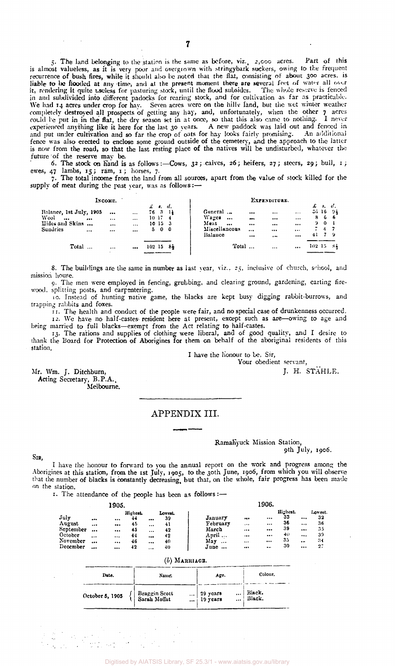5. The land belonging to the station is the same as before, viz., 2,000 acres. Part of this is almost valueless, as it is very poor and overgrown with stringybark suckers, owing to the Frequent recurrence of bush fires, while it should also be noted that the flat, consisting of about 300 acres, is liable to be flooded at any time, and at the present moment there are several feet of water all over it, rendering it quite useless for pasturing stock, until the flood subsides. The whole reserve is fenced in and subdivided into different padocks for rearing stock, and for cultivation as far as practicable. We had 14 acres under crop for hay. Seven acres were on the hilly land, but the wet winter weather completely destroyed all prospects of getting any hay, and, unfortunately, when the other 7 acres could he put in in the flat, the dry season set in at once, so that this also came to nothing. I never experienced anything like it here for the last 30 years. A new paddock was laid out and fenced in and put under cultivation and so far the crop of oats for hay looks fairly promising. An additional fence was also erected to enclose some ground outside of the cemetery, and the approach to the latter is now from the road, so that the last resting place of the natives will be undisturbed, whatever the future of the reserve may be.

6. The stock on hand is as follows:—Cows, 32; calves, 26; heifers, 27; steers, 29; bull, 1; ewes, 47 lambs, 15; ram, 1; horses, 7.

7. The total income from the land from all sources, apart from the value of stock killed for the supply of meat during the past year, was as follows:-

|                                                                            | Income.<br><b>r</b> . d. |                                              |                                              |       |                                       |    |                                                                               |                                                                           | EXPENDITURE.                                                             |                                          |          |                   |                    |
|----------------------------------------------------------------------------|--------------------------|----------------------------------------------|----------------------------------------------|-------|---------------------------------------|----|-------------------------------------------------------------------------------|---------------------------------------------------------------------------|--------------------------------------------------------------------------|------------------------------------------|----------|-------------------|--------------------|
| Balance, 1st July, 1905<br>Wool<br>$\cdots$<br>Hides and Skins<br>Sundries | <br>                     | $\cdots$<br>$\cdots$<br>$\cdots$<br>$\cdots$ | $\cdots$<br>$\cdots$<br>$\cdots$<br>$\cdots$ |       | 7631<br>$10 \ 17 \ 4$<br>10153<br>500 |    | General<br>Wages<br>$\ddotsc$<br>Ment<br>$\cdots$<br>Miscellancous<br>Balance | $\bullet \bullet \bullet$<br>$\overline{\phantom{a}}$<br>$\cdots$<br><br> | $\cdots$<br>$\cdots$<br>$\cdots$<br>$\cdots$<br>$\overline{\phantom{a}}$ | $\ldots$<br>$\cdots$<br><br>$\cdots$<br> | 41       | 866<br>901<br>747 | s, d.<br>36, 16, 9 |
| Total                                                                      |                          | $\cdots$                                     |                                              | 10215 |                                       | 84 | Total                                                                         |                                                                           |                                                                          | $\cdots$                                 | $102-15$ |                   | -84                |

S. The buildings are the same in number as last year, viz.. 25, inclusive of church, school, and mission house.

9. The men were employed in fencing, grubbing, and clearing ground, gardening, carting firewood, splitting posts, and carpentering.

10. Instead of hunting native game, the blacks are kept busy digging rabbit-burrows, and trapping rabbits and foxes.

11. The health and conduct of the people were fair, and no special case of drunkenness occurred. 12. We have no half-castes resident here at present, except such as are—owing to age and being married to full blacks—exempt from the Act relating to half-castes.

13. The rations and supplies of clothing were liberal, and of good quality, and I desire to thank the Board for Protection of Aborigines for them on behalf of the aboriginal residents of this station.

I have the honour to be, Sir,

Your obedient servant,

Mr. Wm. J. Ditchburn, J. H. STAHLE. Acting Secretary, B.P.A., Melbourne.

# APPENDIX III.

### Ramahyuck Mission Station,

9th July, 1906.

#### SIR,

I have the honour to forward to you the annual report on the work and progress among the Aborigines at this station, from the 1st July, 1905, to the 30th June, 1906, from which you will observe that the number of blacks is constantly decreasing, but that, on the whole, fair progress has been made on the station.

1. The attendance of the people has been as follows :-

|                 |          | 1905.    |                |          |               |                 | 1906.    |          |                |          |               |  |  |  |
|-----------------|----------|----------|----------------|----------|---------------|-----------------|----------|----------|----------------|----------|---------------|--|--|--|
| $\mathbf{Julv}$ |          |          | Highest.<br>44 |          | Lowest.<br>39 | January         |          |          | Highest.<br>33 | $\cdots$ | Lowest.<br>32 |  |  |  |
| August          | $\cdots$ |          | 45             | $\cdots$ | 41            | February        | $\cdots$ | $\cdots$ | 36             | $\cdots$ | 36            |  |  |  |
| September       |          |          | 45             | $\cdots$ | 42            | March           |          |          | 39             |          | 35            |  |  |  |
| October         | $\cdots$ | $\cdots$ | 44             |          | 42            | Anril           |          | $\cdots$ | 40             |          | 39            |  |  |  |
| November        |          | $\cdots$ | 46             |          | 40            | May<br>$\cdots$ |          | $\cdots$ | 35             | $\cdots$ | -34           |  |  |  |
| December        |          | $\cdots$ | -12            | $\cdots$ | 40            | June            |          |          | -30            | $\cdots$ | 27            |  |  |  |

| $(b)$ MARRIAGE. |
|-----------------|
|                 |

| Date.           | Name.                                                 | Age.                                         | Colour.          |
|-----------------|-------------------------------------------------------|----------------------------------------------|------------------|
| October 5, 1905 | Braggin Scott<br>Sarah Moffat<br>$\cdots$<br>$\cdots$ | 29 years<br>$\cdots$<br>19 years<br>$\cdots$ | Black.<br>Black. |

**7**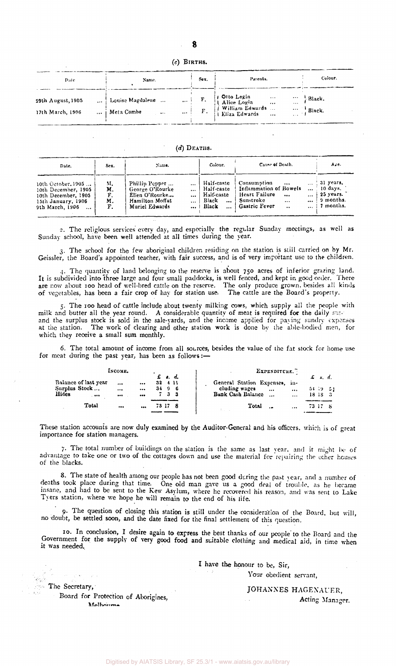(c) BIRTHS.

| Date.                                 | Name.                                          | Sex. | Parents.                     | Colour.                              |
|---------------------------------------|------------------------------------------------|------|------------------------------|--------------------------------------|
| 29th August, 1905<br>17th March, 1906 | Louise Magdalene<br>  Meta Combe<br>$\sim 100$ |      | $\ldots$ F. F. Eliza Edwards | $\cdots$ Black.<br>$\cdots$   Black. |

 $(d)$  DEATHS.

| Date.                                                                                                     | Sex.                       | Name.                                                                                    | Colour.                                                                         | Cause of Death.                                                                                                                                                                                         | Aze.                                                                               |
|-----------------------------------------------------------------------------------------------------------|----------------------------|------------------------------------------------------------------------------------------|---------------------------------------------------------------------------------|---------------------------------------------------------------------------------------------------------------------------------------------------------------------------------------------------------|------------------------------------------------------------------------------------|
| 10th October, 1905<br>10th December, 1905<br>10th December, 1905<br>15th January, 1906<br>9th March, 1906 | M.<br>м.<br>F.<br>М.<br>F. | Phillip Pepper<br>George O'Rourke<br>Elien O'Rourke<br>Hamilton Moffat<br>Muriel Edwards | Half-caste<br>Half-caste<br>Haif-caste<br>Black<br>$\cdots$<br>$\ldots$   Black | Consumption<br>$\cdots$<br>Inflammation of Bowels<br>$\cdots$<br>Heart Failure<br>$\cdots$<br>$\cdots$<br>Sunstroke<br>$\cdots$<br>$\cdots$<br><b>Gastric Fever</b><br>$\ddot{\phantom{a}}$<br>$\cdots$ | $\ldots$ 31 years.<br>$10 \text{ days}$ .<br>$25$ years.<br>9 months.<br>7 months. |

2. The religious services every day, and especially the regular Sunday meetings, as well as Sunday school, have been well attended at all times during the year.

3. The school for the few aboriginal children residing on the station is still carried on by Mr. Geissler, the Board's appointed teacher, with fair success, and is of very important use to the children.

4. The quantity of land belonging to the reserve is about 750 acres of inferior grazing land. It is subdivided into Three large and four small paddocks, is well fenced, and kept in good order. There are now about 100 head of well-bred cattle on the reserve. The only produce grown, besides all kinds of vegetables, has been a fair crop of hay for station use. The cattle are the Board's property.

5. The 100 head of cattle include about twenty milking cows, which supply all the people with milk and butter all the year round. A considerable quantity of meat is required for the daily supp and the surplus stock is sold in the sale-yards, and the income applied for paying sundry expenses at the station. The work of clearing and other station work is done by the able-bodied men, for which they receive a small sum monthly.

6. The total amount of income from all sources, besides the value of the fat stock for home use for meat during the past year, has been as follows:—

|                                       | INCOME.      |                         |                  |    | $f$ , $f$ , $d$ , | EXPENDITURE.                                                                | £ s.d.        |          |
|---------------------------------------|--------------|-------------------------|------------------|----|-------------------|-----------------------------------------------------------------------------|---------------|----------|
| Balance of last year<br>Surplus Stock | <br>$\cdots$ | <br>                    | $32 + 11$<br>349 |    | - 6               | General Station Expenses.<br>- 10-<br>cluding wages<br>$\cdots$<br>$\cdots$ |               | 54 19 53 |
| Hides<br>.                            |              | $$                      |                  | 73 |                   | Bank Cash Balance<br>$\ddotsc$<br>$\cdots$                                  | $18$ $1S$ $3$ |          |
| Total                                 | $\cdots$     | $\bullet\bullet\bullet$ |                  |    |                   | Total<br>$\cdots$                                                           | 73.17 8       |          |

These station accounts are now duly examined by the Auditor-General and his officers, which is of great importance for station managers.

7. The total number of buildings on the station is the same as last year, and it might be of advantage to take one or two of the cottages down and use the material for repairing the other houses of the blacks.

8. The state of health among our people has not been good during the past year, and a number of deaths took place during that time. One old man gave us a good deal of trouble, as he became insane, and had to be sent to the Kew Asylum, where he recovered his reason, and was sent to Lake Tyers station, where we hope he will remain to the end of his life.

9. The question of closing this station is still under the consideration of the Board, but will, no doubt, be settled soon, and the date fixed for the final settlement of this question.

10. In conclusion, I desire again to express the best thanks of our people' to the Board and the Government for the supply of very good food and suitable clothing and medical aid, in time when it was needed.

> I have the honour to be, Sir, Your obedient servant,

The Secretary,

JOHANNES HAGENAUER, Acting Manager.

Board for Protection of Aborigines, **Melbourne**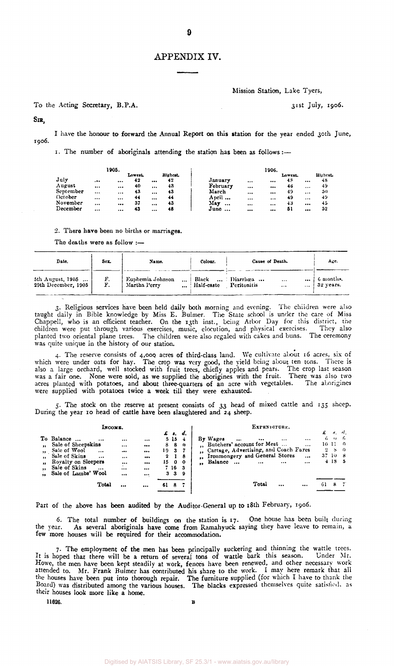# APPENDIX IV.

Mission Station, Lake Tyers,

To the Acting Secretary, B.P.A. 31st July, 1906.

SIR,

I have the honour to forward the Annual Report on this station for the year ended 30th June, 1906.

1. The number of aboriginals attending the station has been as follows:-

|                   |                     | 1905. |         |          |                |          |          | 1906.    |         |          |          |
|-------------------|---------------------|-------|---------|----------|----------------|----------|----------|----------|---------|----------|----------|
|                   |                     |       | Lowest. |          | <b>Highest</b> |          |          |          | Lowest. |          | Highest. |
| July              | $. \bullet \bullet$ |       | 42      |          | 42             | January  | $\cdots$ |          | 48      |          | 48       |
| August            |                     |       | 40      | $\cdots$ | 43             | February | $\cdots$ |          | 46      |          | 49       |
| Septembe <b>r</b> | $\cdots$            |       | 43      |          | 43             | March    |          | $\cdots$ | 49      | $\cdots$ | -50      |
| October           | $\cdots$            |       | 44      |          | 44             | April    | $\cdots$ |          | 49      |          | 49       |
| November          |                     |       | 37      |          | 43             | Max<br>  |          | $\cdots$ | 43      |          | -15      |
| December          |                     |       | 43      |          | 48             | June     |          |          | 51      |          | 52       |

2. There have been no births or marriages.

The deaths were as follow :—

| Date.                                   | Sex.     | Name.                                            | Colour.    | Cause of Death.                                                | Age.                     |
|-----------------------------------------|----------|--------------------------------------------------|------------|----------------------------------------------------------------|--------------------------|
| 5th August, 1905<br>29th December, 1905 | F.<br>F. | Euphemia Johnson<br><br>Martha Perry<br>$\cdots$ | Half-caste | Black  Diarrhœa<br><br><br>Peritonitis<br>$\cdots$<br>$\cdots$ | 6 months.<br>  32 years. |

3. Religious services have been held daily both morning and evening. The children were also taught daily in Bible knowledge by Miss E. Bulmer. The State school is under the care of Miss Chappell, who is an efficient teacher. On the 13th inst., being Arbor Day for this district, the children were put through various exercises, music, elocution, and physical exercises. They also planted two oriental plane trees. The children were also regaled with cakes and buns. The ceremony was quite unique in the history of our station.

4. The reserve consists of 4,000. acres of third-class land. We cultivate about 16 acres, six of which were under oats for hay. The crop was very good, the yield being about ten tons. There is also a large orchard, well stocked with fruit trees, chiefly apples and pears. The crop last season was a fair one. None were sold, as we supplied the aborigines with the fruit. There was also two acres planted with potatoes, and about three-quarters of an acre with vegetables. The aborigines were supplied with potatoes twice a week till they were exhausted.

5. The stock on the reserve at present consists of 33 head of mixed cattle and 135 sheep. During the year 10 head of cattle have been slaughtered and 24 sheep.

|                                                                               | Інсомв.                                                                                                                                                                  |                                  |                                                                |                                                                                   |                                                 |                 | EXPRNDITURE.                                                                                                                                                                                                     |                                     |                            |                                  |
|-------------------------------------------------------------------------------|--------------------------------------------------------------------------------------------------------------------------------------------------------------------------|----------------------------------|----------------------------------------------------------------|-----------------------------------------------------------------------------------|-------------------------------------------------|-----------------|------------------------------------------------------------------------------------------------------------------------------------------------------------------------------------------------------------------|-------------------------------------|----------------------------|----------------------------------|
| $\mathbf{r}$<br>$\bullet$<br>$\bullet$<br>$\bullet$<br>$\bullet$<br>$\bullet$ | To Balance<br>$\cdots$<br>Sale of Sheepskins<br>Sale of Wool<br>$\cdots$<br>Sale of Skins<br><br>Rovalty on Sleepers<br>Sale of Skins<br>$\cdots$<br>Sale of Lambs' Wool | <br><br><br><br>$\cdots$<br><br> | <br><br><br><br><br><br><br>£<br>8<br>19<br>$\mathbf{2}$<br>15 | $\cdot$ $\cdot$ $\cdot$ $\cdot$<br>5 <sub>15</sub><br>8<br>-3-<br>0<br>7 16<br>33 | d.<br>-4<br>$^{\circ}$<br>18<br>- 0<br>- 3<br>9 | $\bullet$<br>., | By Wages<br><br>$\cdots$<br>$\cdots$<br><br>Butchers' account for Meat<br>$\cdots$<br>Cartage, Advertising, and Coach Fares<br>Ironmongery and General Stores<br>$\cdots$<br>Balance<br><br>$\cdots$<br>$\cdots$ | 6.<br>10-11-<br>$\mathbf{2}$<br>37. | s.<br>S<br>10 S<br>$+18$ 5 | $\mathcal{U}$<br>- 0<br>$\Omega$ |
|                                                                               | Total                                                                                                                                                                    |                                  | <br>61                                                         | 8                                                                                 |                                                 |                 | Total<br><br>$\cdots$                                                                                                                                                                                            | 61                                  |                            |                                  |

Part of the above has been audited by the Auditor-General up to 18th February, 1906.

6. The total number of buildings on the station is  $17$ . One house has been built during the year. As several aboriginals have come from Ramahyuck saying they have leave to remain, a few more houses will be required for their accommodation.

7. The employment of the men has been principally suckering and thinning the wattle trees. It is hoped that there will be a return of several tons of wattle bark this season. Under Mr. Howe, the men have been kept steadily at work, fences have been renewed, and other necessary work attended to. Mr. Frank Bulmer has contributed his share to the work. I may here remark that all the houses have been put into thorough repair. The furniture supplied (for which I have to thank the Board) was distributed among the various houses. The blacks expressed themselves quite satisfied, as their bouses look more like a home.

11626. **B**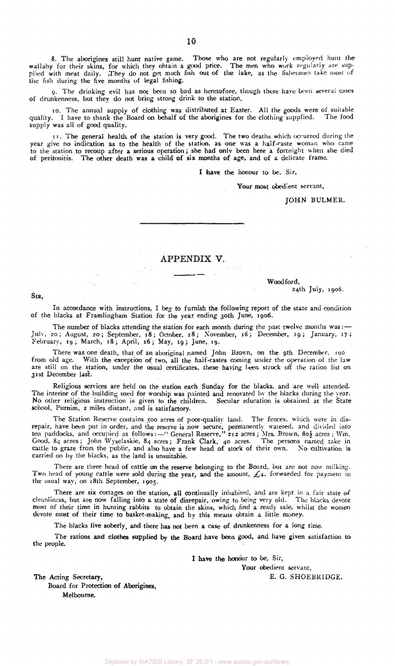8. The aborigines still hunt native game. Those who are not regularly employed hunt the wallaby for their skins, for which they obtain a good price. The men who work regularly are supplied with meat daily. They do not get much fish out of the lake, as the fishermen take most of the fish during the five months of legal fishing.

9. The drinking evil has not been so bad as heretofore, though there have been several cases of drunkenness, but they do not bring strong drink to the station.

10. The annual supply of clothing was distributed at Easter. All the goods were of suitable quality. I have to thank the Board on behalf of the aborigines for the clothing supplied. The food supply was all of good quality.

11. The general health of the station is very good. The two deaths which occurred during the year give no indication as to the health of the station, as one was a half-caste woman who came to the station to recoup after a serious operation; she had only been here a fortnight when she died of peritonitis. The other death was a child of six months of age, and of a delicate frame

I have the honour to be. Sir,

Your most obedient servant,

JOHN BULMER.

#### APPENDIX V.

Woodford, 24th July, 1906.

SIR,

In accordance with instructions, I beg to furnish the following report of the state and condition of the blacks at Framlingham Station for the year ending 30th June, 1906.

The number of blacks attending the station for each month during the past twelve months was :-July, 20; August, 20; September, 18; October. 18; November, 16; December, 19; January, 17; February, 19; March, 18; April, 16; May, 19; June, 19.

There was one death, that of an aboriginal named John Brown, on the 9th December, 190 from old age. With the exception of two, all the half-castes coming under the operation of the law are still on the station, under the usual certificates, these having been struck off the ration list on 31st December last.

Religious services are held on the station each Sunday for the blacks, and are well attended. The interior of the building used for worship was painted and renovated by the blacks during the year. No other religious instruction is given to the children. Secular education is obtained at the State school, Purnim, 2 miles distant, and is satisfactory.

The Station Reserve contains 500 acres of poor-quality land. The fences, which were in disrepair, have been put in order, and the reserve is now secure, permanently watered, and divided into ten paddocks, and occupied as follows:—" General Reserve," 212 acres ; Mrs. Brown, 80 $\frac{1}{2}$  acres ; Wm. Good, 84 acres; John Wyselaskie, 84 acres; Frank Clark, 40 acres. The persons named take in cattle to graze from the public, and also have a few head of stock of their own. No cultivation is carried on by the blacks, as the land is unsuitable.

There are three head of cattle on the reserve belonging to the Board, but are not now milking. Two head of young cattle were sold during the year, and the amount,  $\mathcal{L}_4$ , forwarded for payment in the usual way, on 18th September, 1905.

There are six cottages on the station, all continually inhabited, and are kept in a fair state of cleanliness, but are now falling into a state of disrepair, owing to being very old. The blacks devote most of their time in hunting rabbits to obtain the skins, which find a ready sale, whilst the women devote most of their time to basket-making, and by this means obtain a little money.

The blacks live soberly, and there has not been a case of drunkenness for a long time.

The rations and clothes supplied by the Board have been good, and have given satisfaction to the people.

I have the honour to be, Sir,

Your obedient servant,

The Acting Secretary, E. G. SHOEBRIDGE. Board for Protection of Aborigines, Melbourne.